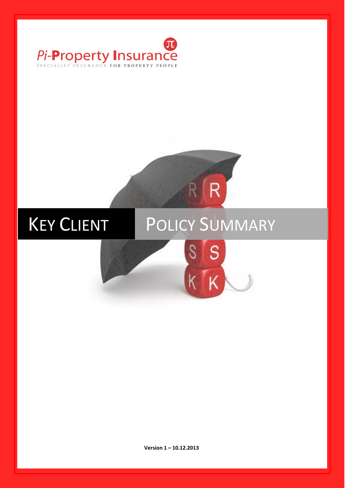

# KEY CLIENT POLICY SUMMARY S S

R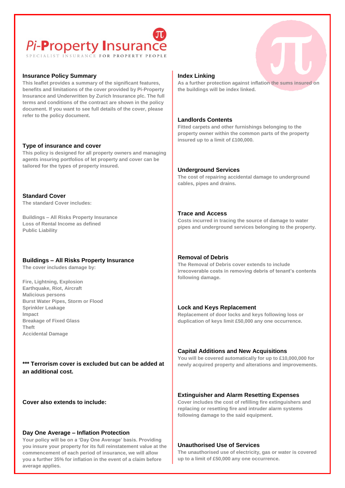# Pi-Property Insurance

## **Insurance Policy Summary**

**This leaflet provides a summary of the significant features, benefits and limitations of the cover provided by Pi-Property Insurance and Underwritten by Zurich Insurance plc. The full terms and conditions of the contract are shown in the policy document. If you want to see full details of the cover, please refer to the policy document.**

## **Type of insurance and cover**

**This policy is designed for all property owners and managing agents insuring portfolios of let property and cover can be tailored for the types of property insured.**

**Standard Cover The standard Cover includes:**

• **Buildings – All Risks Property Insurance**  • **Loss of Rental Income as defined**  • **Public Liability** 

# **Buildings – All Risks Property Insurance**

**The cover includes damage by:**

• **Fire, Lightning, Explosion** • **Earthquake, Riot, Aircraft** • **Malicious persons**  • **Burst Water Pipes, Storm or Flood**  • **Sprinkler Leakage** • **Impact** • **Breakage of Fixed Glass** • **Theft**  • **Accidental Damage**

**\*\*\* Terrorism cover is excluded but can be added at an additional cost.**

**Cover also extends to include:**

## **Day One Average – Inflation Protection**

**Your policy will be on a 'Day One Average' basis. Providing you insure your property for its full reinstatement value at the commencement of each period of insurance, we will allow you a further 35% for inflation in the event of a claim before average applies.**

## **Index Linking**

**As a further protection against inflation the sums insured on the buildings will be index linked.**

### **Landlords Contents**

**Fitted carpets and other furnishings belonging to the property owner within the common parts of the property insured up to a limit of £100,000.**

## **Underground Services**

**The cost of repairing accidental damage to underground cables, pipes and drains.**

**Trace and Access**

**Costs incurred in tracing the source of damage to water pipes and underground services belonging to the property.**

## **Removal of Debris**

**The Removal of Debris cover extends to include irrecoverable costs in removing debris of tenant's contents following damage.**

## **Lock and Keys Replacement**

**Replacement of door locks and keys following loss or duplication of keys limit £50,000 any one occurrence.**

## **Capital Additions and New Acquisitions**

**You will be covered automatically for up to £10,000,000 for newly acquired property and alterations and improvements.**

## **Extinguisher and Alarm Resetting Expenses**

**Cover includes the cost of refilling fire extinguishers and replacing or resetting fire and intruder alarm systems following damage to the said equipment.**

### **Unauthorised Use of Services**

**The unauthorised use of electricity, gas or water is covered up to a limit of £50,000 any one occurrence.**

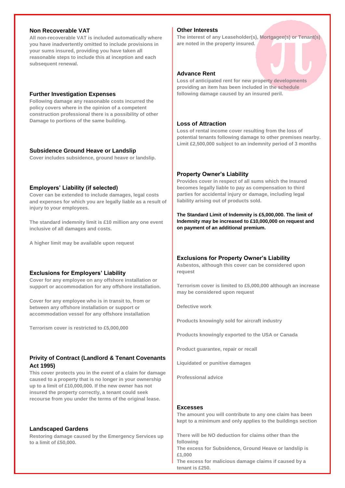#### **Non Recoverable VAT**

**All non-recoverable VAT is included automatically where you have inadvertently omitted to include provisions in your sums insured, providing you have taken all reasonable steps to include this at inception and each subsequent renewal.**

#### **Further Investigation Expenses**

**Following damage any reasonable costs incurred the policy covers where in the opinion of a competent construction professional there is a possibility of other Damage to portions of the same building.**

#### **Subsidence Ground Heave or Landslip**

**Cover includes subsidence, ground heave or landslip.**

### **Employers' Liability (if selected)**

**Cover can be extended to include damages, legal costs and expenses for which you are legally liable as a result of injury to your employees.**

**The standard indemnity limit is £10 million any one event inclusive of all damages and costs.**

**A higher limit may be available upon request**

#### **Exclusions for Employers' Liability**

**Cover for any employee on any offshore installation or support or accommodation for any offshore installation.**

**Cover for any employee who is in transit to, from or between any offshore installation or support or accommodation vessel for any offshore installation**

**Terrorism cover is restricted to £5,000,000**

## **Privity of Contract (Landlord & Tenant Covenants Act 1995)**

**This cover protects you in the event of a claim for damage caused to a property that is no longer in your ownership up to a limit of £10,000,000. If the new owner has not insured the property correctly, a tenant could seek recourse from you under the terms of the original lease.**

#### **Landscaped Gardens**

**Restoring damage caused by the Emergency Services up to a limit of £50,000.**

# **Other Interests**

**The interest of any Leaseholder(s), Mortgagee(s) or Tenant(s) are noted in the property insured.**

#### **Advance Rent**

**Loss of anticipated rent for new property developments providing an item has been included in the schedule following damage caused by an insured peril.**

## **Loss of Attraction**

**Loss of rental income cover resulting from the loss of potential tenants following damage to other premises nearby. Limit £2,500,000 subject to an indemnity period of 3 months**

#### **Property Owner's Liability**

**Provides cover in respect of all sums which the Insured becomes legally liable to pay as compensation to third parties for accidental injury or damage, including legal liability arising out of products sold.**

**The Standard Limit of Indemnity is £5,000,000. The limit of Indemnity may be increased to £10,000,000 on request and on payment of an additional premium.**

#### **Exclusions for Property Owner's Liability**

**Asbestos, although this cover can be considered upon request**

**Terrorism cover is limited to £5,000,000 although an increase may be considered upon request**

**Defective work**

**Products knowingly sold for aircraft industry**

**Products knowingly exported to the USA or Canada**

**Product guarantee, repair or recall**

**Liquidated or punitive damages**

**Professional advice**

## **Excesses**

**The amount you will contribute to any one claim has been kept to a minimum and only applies to the buildings section**

• **There will be NO deduction for claims other than the following**

• **The excess for Subsidence, Ground Heave or landslip is £1,000** 

• **The excess for malicious damage claims if caused by a tenant is £250.**